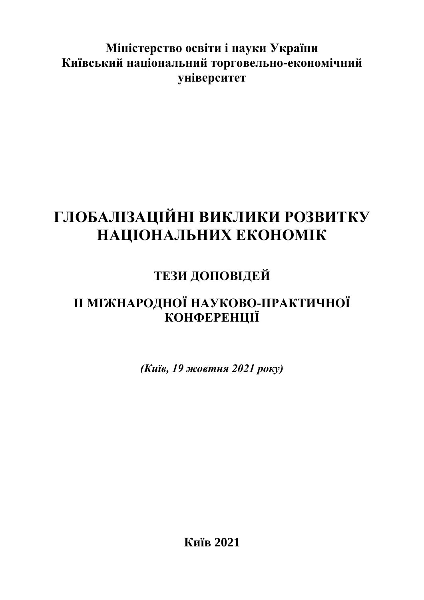### **Міністерство освіти і науки України Київський національний торговельно-економічний університет**

# **ГЛОБАЛІЗАЦІЙНІ ВИКЛИКИ РОЗВИТКУ НАЦІОНАЛЬНИХ ЕКОНОМІК**

## **ТЕЗИ ДОПОВІДЕЙ**

### **ІІ МІЖНАРОДНОЇ НАУКОВО-ПРАКТИЧНОЇ КОНФЕРЕНЦІЇ**

*(Київ, 19 жовтня 2021 року)*

**Київ 2021**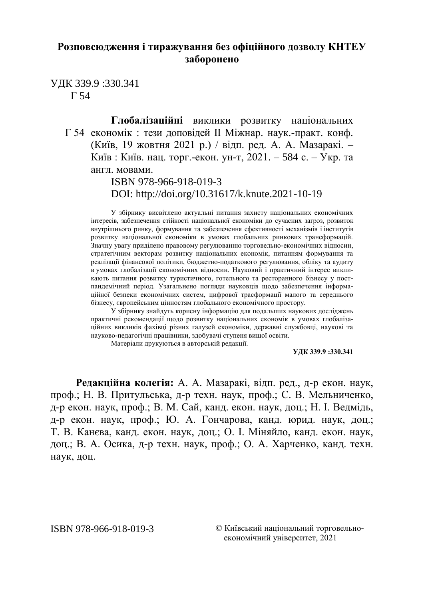#### **Розповсюдження і тиражування без офіційного дозволу КНТЕУ заборонено**

УДК 339.9 :330.341 Г 54

> **Глобалізаційні** виклики розвитку національних Г 54 економік : тези доповідей II Міжнар. наук.-практ. конф. (Київ, 19 жовтня 2021 р.) / відп. ред. А. А. Мазаракі. – Київ : Київ. нац. торг.-екон. ун-т, 2021. – 584 с. – Укр. та англ. мовами.

> > ISBN 978-966-918-019-3 DOI: http://doi.org/10.31617/k.knute.2021-10-19

У збірнику висвітлено актуальні питання захисту національних економічних інтересів, забезпечення стійкості національної економіки до сучасних загроз, розвиток внутрішнього ринку, формування та забезпечення ефективності механізмів і інститутів розвитку національної економіки в умовах глобальних ринкових трансформацій. Значну увагу приділено правовому регулюванню торговельно-економічних відносин, стратегічним векторам розвитку національних економік, питанням формування та реалізації фінансової політики, бюджетно-податкового регулювання, обліку та аудиту в умовах глобалізації економічних відносин. Науковий і практичний інтерес викликають питання розвитку туристичного, готельного та ресторанного бізнесу у постпандемічний період. Узагальнено погляди науковців щодо забезпечення інформаційної безпеки економічних систем, цифрової трасформації малого та середнього бізнесу, європейським цінностям глобального економічного простору.

У збірнику знайдуть корисну інформацію для подальших наукових досліджень практичні рекомендації щодо розвитку національних економік в умовах глобалізаційних викликів фахівці різних галузей економіки, державні службовці, наукові та науково-педагогічні працівники, здобувачі ступеня вищої освіти.

Матеріали друкуються в авторській редакції.

**УДК 339.9 :330.341**

**Редакційна колегія:** А. А. Мазаракі, відп. ред., д-р екон. наук, проф.; Н. В. Притульська, д-р техн. наук, проф.; С. В. Мельниченко, д-р екон. наук, проф.; В. М. Сай, канд. екон. наук, доц.; Н. І. Ведмідь, д-р екон. наук, проф.; Ю. А. Гончарова, канд. юрид. наук, доц.; Т. В. Канєва, канд. екон. наук, доц.; О. І. Міняйло, канд. екон. наук, доц.; В. А. Осика, д-р техн. наук, проф.; О. А. Харченко, канд. техн. наук, доц.

ISBN 978-966-918-019-3 © Київський національний торговельноекономічний університет, 2021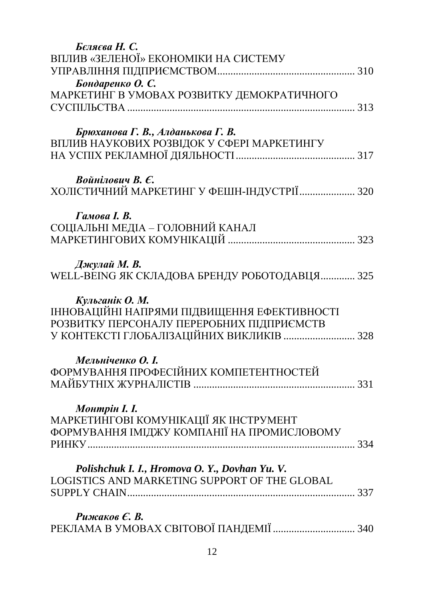| Беляева Н. С.                                                                                   |  |
|-------------------------------------------------------------------------------------------------|--|
| ВПЛИВ «ЗЕЛЕНОЇ» ЕКОНОМІКИ НА СИСТЕМУ                                                            |  |
|                                                                                                 |  |
| Бондаренко О. С.                                                                                |  |
| МАРКЕТИНГ В УМОВАХ РОЗВИТКУ ДЕМОКРАТИЧНОГО                                                      |  |
|                                                                                                 |  |
|                                                                                                 |  |
| Брюханова Г. В., Алданькова Г. В.                                                               |  |
| ВПЛИВ НАУКОВИХ РОЗВІДОК У СФЕРІ МАРКЕТИНГУ                                                      |  |
|                                                                                                 |  |
| Войнілович В. Є.                                                                                |  |
| ХОЛІСТИЧНИЙ МАРКЕТИНГ У ФЕШН-ІНДУСТРІЇ  320                                                     |  |
|                                                                                                 |  |
| Гамова <i>I. В.</i>                                                                             |  |
| СОЦІАЛЬНІ МЕДІА – ГОЛОВНИЙ КАНАЛ                                                                |  |
|                                                                                                 |  |
| Джулай М. В.                                                                                    |  |
| WELL-BEING ЯК СКЛАДОВА БРЕНДУ РОБОТОДАВЦЯ 325                                                   |  |
|                                                                                                 |  |
| Кульганік О. М.                                                                                 |  |
| ІННОВАЦІЙНІ НАПРЯМИ ПІДВИЩЕННЯ ЕФЕКТИВНОСТІ                                                     |  |
| РОЗВИТКУ ПЕРСОНАЛУ ПЕРЕРОБНИХ ПІДПРИЄМСТВ                                                       |  |
| У КОНТЕКСТІ ГЛОБАЛІЗАЦІЙНИХ ВИКЛИКІВ  328                                                       |  |
|                                                                                                 |  |
| Мельніченко О. І.<br>ФОРМУВАННЯ ПРОФЕСІЙНИХ КОМПЕТЕНТНОСТЕЙ                                     |  |
|                                                                                                 |  |
|                                                                                                 |  |
| <b>Монтрін І. І.</b>                                                                            |  |
| МАРКЕТИНГОВІ КОМУНІКАЦІЇ ЯК ІНСТРУМЕНТ                                                          |  |
| ФОРМУВАННЯ ІМІДЖУ КОМПАНІЇ НА ПРОМИСЛОВОМУ                                                      |  |
|                                                                                                 |  |
|                                                                                                 |  |
| Polishchuk I. I., Hromova O. Y., Dovhan Yu. V.<br>LOGISTICS AND MARKETING SUPPORT OF THE GLOBAL |  |
|                                                                                                 |  |
|                                                                                                 |  |
| Рижаков Е. В.                                                                                   |  |
| РЕКЛАМА В УМОВАХ СВІТОВОЇ ПАНДЕМІЇ  340                                                         |  |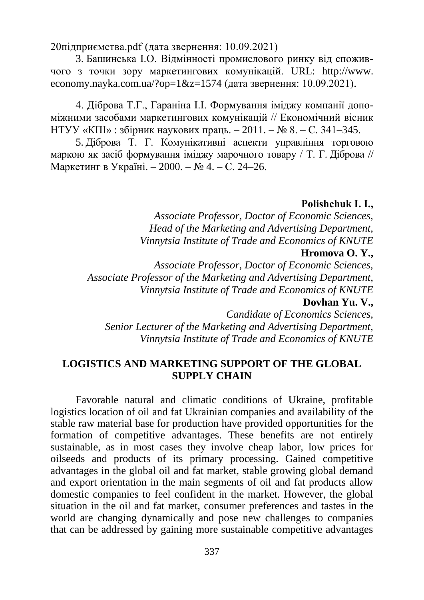[20підприємства.pdf](http://www.repository.hneu.edu.ua/bitstream/123456789/19377/1/Слюсарєва%20Л.А.%2C%20Костіна%20О.М.%20Удосконалення%20комунікаційної%20політики%20підприємства.pdf) (дата звернення: 10.09.2021)

3. Башинська І.О. Відмінності промислового ринку від споживчого з точки зору маркетингових комунікацій. URL: [http://www.](http://www.economy.nayka.com.ua/?op=1&z=1574) [economy.nayka.com.ua/?op=1&z=1574](http://www.economy.nayka.com.ua/?op=1&z=1574) (дата звернення: 10.09.2021).

4. Діброва Т.Г., Гараніна І.І. Формування іміджу компанії допоміжними засобами маркетингових комунікацій // Економічний вісник НТУУ «КПІ» : збірник наукових праць. – 2011. – № 8. – С. 341–345.

5. Діброва Т. Г. Комунікативні аспекти управління торговою маркою як засіб формування іміджу марочного товару / Т. Г. Діброва // Маркетинг в Україні. – 2000. – № 4. – С. 24–26.

#### **Polishchuk I. І.,**

*Associate Professor, Doctor of Economic Sciences, Head of the Marketing and Advertising Department, Vinnytsia Institute of Trade and Economics of KNUTE* **Hromova O. Y.,** 

*Associate Professor, Doctor of Economic Sciences, Associate Professor of the Marketing and Advertising Department, Vinnytsia Institute of Trade and Economics of KNUTE*

#### **Dovhan Yu. V.,**

*Candidate of Economics Sciences, Senior Lecturer of the Marketing and Advertising Department, Vinnytsia Institute of Trade and Economics of KNUTE*

#### **LOGISTICS AND MARKETING SUPPORT OF THE GLOBAL SUPPLY CHAIN**

Favorable natural and climatic conditions of Ukraine, profitable logistics location of oil and fat Ukrainian companies and availability of the stable raw material base for production have provided opportunities for the formation of competitive advantages. These benefits are not entirely sustainable, as in most cases they involve cheap labor, low prices for oilseeds and products of its primary processing. Gained competitive advantages in the global oil and fat market, stable growing global demand and export orientation in the main segments of oil and fat products allow domestic companies to feel confident in the market. However, the global situation in the oil and fat market, consumer preferences and tastes in the world are changing dynamically and pose new challenges to companies that can be addressed by gaining more sustainable competitive advantages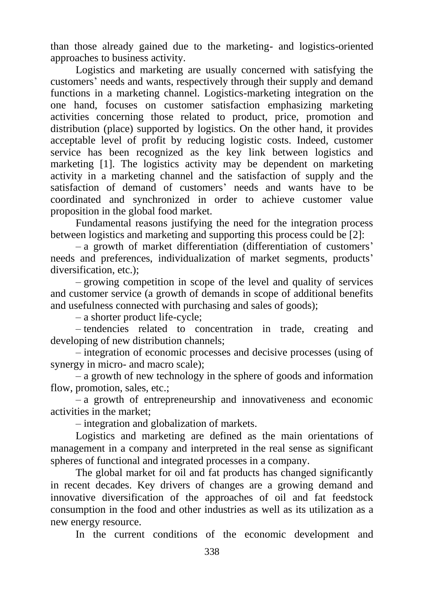than those already gained due to the marketing- and logistics-oriented approaches to business activity.

Logistics and marketing are usually concerned with satisfying the customers' needs and wants, respectively through their supply and demand functions in a marketing channel. Logistics-marketing integration on the one hand, focuses on customer satisfaction emphasizing marketing activities concerning those related to product, price, promotion and distribution (place) supported by logistics. On the other hand, it provides acceptable level of profit by reducing logistic costs. Indeed, customer service has been recognized as the key link between logistics and marketing [1]. The logistics activity may be dependent on marketing activity in a marketing channel and the satisfaction of supply and the satisfaction of demand of customers' needs and wants have to be coordinated and synchronized in order to achieve customer value proposition in the global food market.

Fundamental reasons justifying the need for the integration process between logistics and marketing and supporting this process could be [2]:

– a growth of market differentiation (differentiation of customers' needs and preferences, individualization of market segments, products' diversification, etc.);

– growing competition in scope of the level and quality of services and customer service (a growth of demands in scope of additional benefits and usefulness connected with purchasing and sales of goods);

– a shorter product life-cycle;

– tendencies related to concentration in trade, creating and developing of new distribution channels;

– integration of economic processes and decisive processes (using of synergy in micro- and macro scale);

– a growth of new technology in the sphere of goods and information flow, promotion, sales, etc.:

– a growth of entrepreneurship and innovativeness and economic activities in the market;

– integration and globalization of markets.

Logistics and marketing are defined as the main orientations of management in a company and interpreted in the real sense as significant spheres of functional and integrated processes in a company.

The global market for oil and fat products has changed significantly in recent decades. Key drivers of changes are a growing demand and innovative diversification of the approaches of oil and fat feedstock consumption in the food and other industries as well as its utilization as a new energy resource.

In the current conditions of the economic development and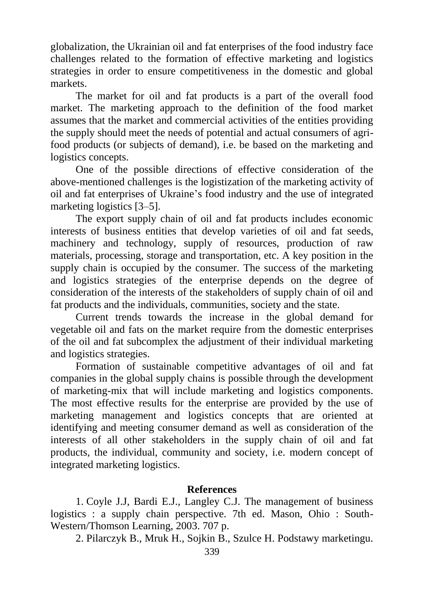globalization, the Ukrainian oil and fat enterprises of the food industry face challenges related to the formation of effective marketing and logistics strategies in order to ensure competitiveness in the domestic and global markets.

The market for oil and fat products is a part of the overall food market. The marketing approach to the definition of the food market assumes that the market and commercial activities of the entities providing the supply should meet the needs of potential and actual consumers of agrifood products (or subjects of demand), i.e. be based on the marketing and logistics concepts.

One of the possible directions of effective consideration of the above-mentioned challenges is the logistization of the marketing activity of oil and fat enterprises of Ukraine's food industry and the use of integrated marketing logistics [3–5].

The export supply chain of oil and fat products includes economic interests of business entities that develop varieties of oil and fat seeds, machinery and technology, supply of resources, production of raw materials, processing, storage and transportation, etc. A key position in the supply chain is occupied by the consumer. The success of the marketing and logistics strategies of the enterprise depends on the degree of consideration of the interests of the stakeholders of supply chain of oil and fat products and the individuals, communities, society and the state.

Current trends towards the increase in the global demand for vegetable oil and fats on the market require from the domestic enterprises of the oil and fat subcomplex the adjustment of their individual marketing and logistics strategies.

Formation of sustainable competitive advantages of oil and fat companies in the global supply chains is possible through the development of marketing-mix that will include marketing and logistics components. The most effective results for the enterprise are provided by the use of marketing management and logistics concepts that are oriented at identifying and meeting consumer demand as well as consideration of the interests of all other stakeholders in the supply chain of oil and fat products, the individual, community and society, i.e. modern concept of integrated marketing logistics.

#### **References**

1. Coyle J.J, Bardi E.J., Langley C.J. The management of business logistics : a supply chain perspective. 7th ed. Mason, Ohio : South-Western/Thomson Learning, 2003. 707 p.

2. Pilarczyk B., Mruk H., Sojkin B., Szulce H. Podstawy marketingu.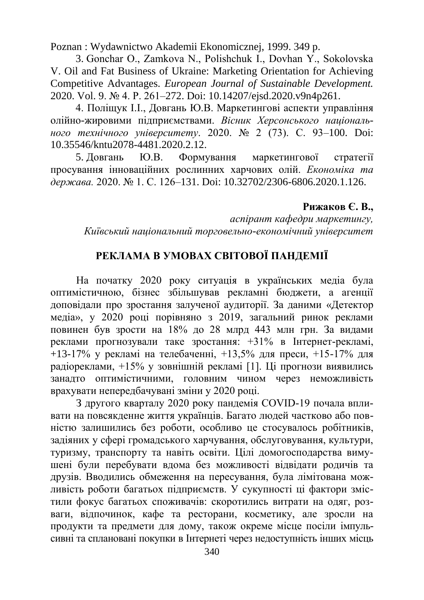Poznan : Wydawnictwo Akademii Ekonomicznej, 1999. 349 p.

3. Gonchar О., Zamkova N., Polishchuk I., Dovhan Y., Sokolovska V. Oil and Fat Business of Ukraine: Marketing Orientation for Achieving Competitive Advantages. *European Journal of Sustainable Development.* 2020. Vol. 9. № 4. P. 261–272. Doi: 10.14207/ejsd.2020.v9n4p261.

4. Поліщук І.І., Довгань Ю.В. Маркетингові аспекти управління олійно-жировими підприємствами. *Вісник Херсонського національного технічного університету*. 2020. № 2 (73). С. 93–100. Doi: 10.35546/kntu2078-4481.2020.2.12.

5. Довгань Ю.В. Формування маркетингової стратегії просування інноваційних рослинних харчових олій. *Економіка та держава.* 2020. № 1. С. 126–131. Doi: 10.32702/2306-6806.2020.1.126.

#### **Рижаков Є. В.,**

*аспірант кафедри маркетингу, Київський національний торговельно-економічний університет*

### **РЕКЛАМА В УМОВАХ СВІТОВОЇ ПАНДЕМІЇ**

На початку 2020 року ситуація в українських медіа була оптимістичною, бізнес збільшував рекламні бюджети, а агенції доповідали про зростання залученої аудиторії. За даними «Детектор медіа», у 2020 році порівняно з 2019, загальний ринок реклами повинен був зрости на 18% до 28 млрд 443 млн грн. За видами реклами прогнозували таке зростання: +31% в Інтернет-рекламі, +13-17% у рекламі на телебаченні, +13,5% для преси, +15-17% для радіореклами, +15% у зовнішній рекламі [1]. Ці прогнози виявились занадто оптимістичними, головним чином через неможливість врахувати непередбачувані зміни у 2020 році.

З другого кварталу 2020 року пандемія COVID-19 почала впливати на повсякденне життя українців. Багато людей частково або повністю залишились без роботи, особливо це стосувалось робітників, задіяних у сфері громадського харчування, обслуговування, культури, туризму, транспорту та навіть освіти. Цілі домогосподарства вимушені були перебувати вдома без можливості відвідати родичів та друзів. Вводились обмеження на пересування, була лімітована можливість роботи багатьох підприємств. У сукупності ці фактори змістили фокус багатьох споживачів: скоротились витрати на одяг, розваги, відпочинок, кафе та ресторани, косметику, але зросли на продукти та предмети для дому, також окреме місце посіли імпульсивні та сплановані покупки в Інтернеті через недоступність інших місць